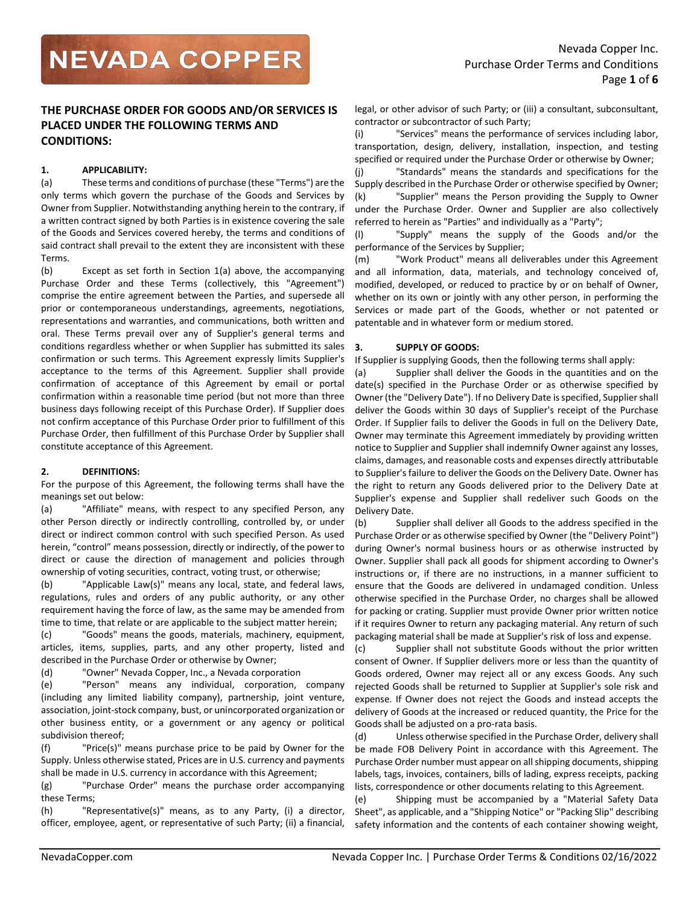# **THE PURCHASE ORDER FOR GOODS AND/OR SERVICES IS PLACED UNDER THE FOLLOWING TERMS AND CONDITIONS:**

# **1. APPLICABILITY:**

(a) These terms and conditions of purchase (these "Terms") are the only terms which govern the purchase of the Goods and Services by Owner from Supplier. Notwithstanding anything herein to the contrary, if a written contract signed by both Parties is in existence covering the sale of the Goods and Services covered hereby, the terms and conditions of said contract shall prevail to the extent they are inconsistent with these Terms.

(b) Except as set forth in Section 1(a) above, the accompanying Purchase Order and these Terms (collectively, this "Agreement") comprise the entire agreement between the Parties, and supersede all prior or contemporaneous understandings, agreements, negotiations, representations and warranties, and communications, both written and oral. These Terms prevail over any of Supplier's general terms and conditions regardless whether or when Supplier has submitted its sales confirmation or such terms. This Agreement expressly limits Supplier's acceptance to the terms of this Agreement. Supplier shall provide confirmation of acceptance of this Agreement by email or portal confirmation within a reasonable time period (but not more than three business days following receipt of this Purchase Order). If Supplier does not confirm acceptance of this Purchase Order prior to fulfillment of this Purchase Order, then fulfillment of this Purchase Order by Supplier shall constitute acceptance of this Agreement.

# **2. DEFINITIONS:**

For the purpose of this Agreement, the following terms shall have the meanings set out below:

(a) "Affiliate" means, with respect to any specified Person, any other Person directly or indirectly controlling, controlled by, or under direct or indirect common control with such specified Person. As used herein, "control" means possession, directly or indirectly, of the power to direct or cause the direction of management and policies through ownership of voting securities, contract, voting trust, or otherwise;

(b) "Applicable Law(s)" means any local, state, and federal laws, regulations, rules and orders of any public authority, or any other requirement having the force of law, as the same may be amended from time to time, that relate or are applicable to the subject matter herein;

(c) "Goods" means the goods, materials, machinery, equipment, articles, items, supplies, parts, and any other property, listed and described in the Purchase Order or otherwise by Owner;

(d) "Owner" Nevada Copper, Inc., a Nevada corporation

(e) "Person" means any individual, corporation, company (including any limited liability company), partnership, joint venture, association, joint-stock company, bust, or unincorporated organization or other business entity, or a government or any agency or political subdivision thereof;

(f) "Price(s)" means purchase price to be paid by Owner for the Supply. Unless otherwise stated, Prices are in U.S. currency and payments shall be made in U.S. currency in accordance with this Agreement;

(g) "Purchase Order" means the purchase order accompanying these Terms;

(h) "Representative(s)" means, as to any Party, (i) a director, officer, employee, agent, or representative of such Party; (ii) a financial, legal, or other advisor of such Party; or (iii) a consultant, subconsultant, contractor or subcontractor of such Party;

(i) "Services" means the performance of services including labor, transportation, design, delivery, installation, inspection, and testing specified or required under the Purchase Order or otherwise by Owner;

(j) "Standards" means the standards and specifications for the Supply described in the Purchase Order or otherwise specified by Owner; (k) "Supplier" means the Person providing the Supply to Owner under the Purchase Order. Owner and Supplier are also collectively referred to herein as "Parties" and individually as a "Party";

(l) "Supply" means the supply of the Goods and/or the performance of the Services by Supplier;

(m) "Work Product" means all deliverables under this Agreement and all information, data, materials, and technology conceived of, modified, developed, or reduced to practice by or on behalf of Owner, whether on its own or jointly with any other person, in performing the Services or made part of the Goods, whether or not patented or patentable and in whatever form or medium stored.

# **3. SUPPLY OF GOODS:**

If Supplier is supplying Goods, then the following terms shall apply:

(a) Supplier shall deliver the Goods in the quantities and on the date(s) specified in the Purchase Order or as otherwise specified by Owner (the "Delivery Date"). If no Delivery Date is specified, Supplier shall deliver the Goods within 30 days of Supplier's receipt of the Purchase Order. If Supplier fails to deliver the Goods in full on the Delivery Date, Owner may terminate this Agreement immediately by providing written notice to Supplier and Supplier shall indemnify Owner against any losses, claims, damages, and reasonable costs and expenses directly attributable to Supplier's failure to deliver the Goods on the Delivery Date. Owner has the right to return any Goods delivered prior to the Delivery Date at Supplier's expense and Supplier shall redeliver such Goods on the Delivery Date.

(b) Supplier shall deliver all Goods to the address specified in the Purchase Order or as otherwise specified by Owner (the "Delivery Point") during Owner's normal business hours or as otherwise instructed by Owner. Supplier shall pack all goods for shipment according to Owner's instructions or, if there are no instructions, in a manner sufficient to ensure that the Goods are delivered in undamaged condition. Unless otherwise specified in the Purchase Order, no charges shall be allowed for packing or crating. Supplier must provide Owner prior written notice if it requires Owner to return any packaging material. Any return of such packaging material shall be made at Supplier's risk of loss and expense.

(c) Supplier shall not substitute Goods without the prior written consent of Owner. If Supplier delivers more or less than the quantity of Goods ordered, Owner may reject all or any excess Goods. Any such rejected Goods shall be returned to Supplier at Supplier's sole risk and expense. If Owner does not reject the Goods and instead accepts the delivery of Goods at the increased or reduced quantity, the Price for the Goods shall be adjusted on a pro-rata basis.

(d) Unless otherwise specified in the Purchase Order, delivery shall be made FOB Delivery Point in accordance with this Agreement. The Purchase Order number must appear on all shipping documents, shipping labels, tags, invoices, containers, bills of lading, express receipts, packing lists, correspondence or other documents relating to this Agreement.

(e) Shipping must be accompanied by a "Material Safety Data Sheet", as applicable, and a "Shipping Notice" or "Packing Slip" describing safety information and the contents of each container showing weight,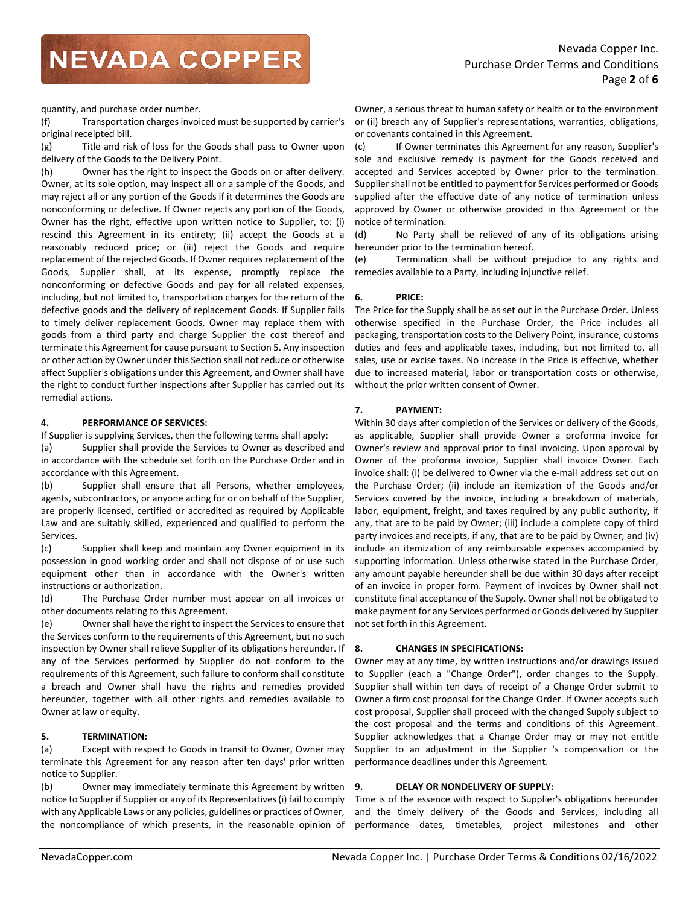quantity, and purchase order number.

(f) Transportation charges invoiced must be supported by carrier's original receipted bill.

(g) Title and risk of loss for the Goods shall pass to Owner upon delivery of the Goods to the Delivery Point.

(h) Owner has the right to inspect the Goods on or after delivery. Owner, at its sole option, may inspect all or a sample of the Goods, and may reject all or any portion of the Goods if it determines the Goods are nonconforming or defective. If Owner rejects any portion of the Goods, Owner has the right, effective upon written notice to Supplier, to: (i) rescind this Agreement in its entirety; (ii) accept the Goods at a reasonably reduced price; or (iii) reject the Goods and require replacement of the rejected Goods. If Owner requires replacement of the Goods, Supplier shall, at its expense, promptly replace the nonconforming or defective Goods and pay for all related expenses, including, but not limited to, transportation charges for the return of the defective goods and the delivery of replacement Goods. If Supplier fails to timely deliver replacement Goods, Owner may replace them with goods from a third party and charge Supplier the cost thereof and terminate this Agreement for cause pursuant to Section 5. Any inspection or other action by Owner under this Section shall not reduce or otherwise affect Supplier's obligations under this Agreement, and Owner shall have the right to conduct further inspections after Supplier has carried out its remedial actions.

## **4. PERFORMANCE OF SERVICES:**

If Supplier is supplying Services, then the following terms shall apply:

(a) Supplier shall provide the Services to Owner as described and in accordance with the schedule set forth on the Purchase Order and in accordance with this Agreement.

(b) Supplier shall ensure that all Persons, whether employees, agents, subcontractors, or anyone acting for or on behalf of the Supplier, are properly licensed, certified or accredited as required by Applicable Law and are suitably skilled, experienced and qualified to perform the Services.

(c) Supplier shall keep and maintain any Owner equipment in its possession in good working order and shall not dispose of or use such equipment other than in accordance with the Owner's written instructions or authorization.

(d) The Purchase Order number must appear on all invoices or other documents relating to this Agreement.

(e) Owner shall have the right to inspect the Services to ensure that the Services conform to the requirements of this Agreement, but no such inspection by Owner shall relieve Supplier of its obligations hereunder. If any of the Services performed by Supplier do not conform to the requirements of this Agreement, such failure to conform shall constitute a breach and Owner shall have the rights and remedies provided hereunder, together with all other rights and remedies available to Owner at law or equity.

## **5. TERMINATION:**

(a) Except with respect to Goods in transit to Owner, Owner may terminate this Agreement for any reason after ten days' prior written notice to Supplier.

(b) Owner may immediately terminate this Agreement by written notice to Supplier if Supplier or any of its Representatives (i) fail to comply with any Applicable Laws or any policies, guidelines or practices of Owner, the noncompliance of which presents, in the reasonable opinion of

Owner, a serious threat to human safety or health or to the environment or (ii) breach any of Supplier's representations, warranties, obligations, or covenants contained in this Agreement.

(c) If Owner terminates this Agreement for any reason, Supplier's sole and exclusive remedy is payment for the Goods received and accepted and Services accepted by Owner prior to the termination. Supplier shall not be entitled to payment for Services performed or Goods supplied after the effective date of any notice of termination unless approved by Owner or otherwise provided in this Agreement or the notice of termination.

(d) No Party shall be relieved of any of its obligations arising hereunder prior to the termination hereof.

(e) Termination shall be without prejudice to any rights and remedies available to a Party, including injunctive relief.

## **6. PRICE:**

The Price for the Supply shall be as set out in the Purchase Order. Unless otherwise specified in the Purchase Order, the Price includes all packaging, transportation costs to the Delivery Point, insurance, customs duties and fees and applicable taxes, including, but not limited to, all sales, use or excise taxes. No increase in the Price is effective, whether due to increased material, labor or transportation costs or otherwise, without the prior written consent of Owner.

## **7. PAYMENT:**

Within 30 days after completion of the Services or delivery of the Goods, as applicable, Supplier shall provide Owner a proforma invoice for Owner's review and approval prior to final invoicing. Upon approval by Owner of the proforma invoice, Supplier shall invoice Owner. Each invoice shall: (i) be delivered to Owner via the e-mail address set out on the Purchase Order; (ii) include an itemization of the Goods and/or Services covered by the invoice, including a breakdown of materials, labor, equipment, freight, and taxes required by any public authority, if any, that are to be paid by Owner; (iii) include a complete copy of third party invoices and receipts, if any, that are to be paid by Owner; and (iv) include an itemization of any reimbursable expenses accompanied by supporting information. Unless otherwise stated in the Purchase Order, any amount payable hereunder shall be due within 30 days after receipt of an invoice in proper form. Payment of invoices by Owner shall not constitute final acceptance of the Supply. Owner shall not be obligated to make payment for any Services performed or Goods delivered by Supplier not set forth in this Agreement.

## **8. CHANGES IN SPECIFICATIONS:**

Owner may at any time, by written instructions and/or drawings issued to Supplier (each a "Change Order"), order changes to the Supply. Supplier shall within ten days of receipt of a Change Order submit to Owner a firm cost proposal for the Change Order. If Owner accepts such cost proposal, Supplier shall proceed with the changed Supply subject to the cost proposal and the terms and conditions of this Agreement. Supplier acknowledges that a Change Order may or may not entitle Supplier to an adjustment in the Supplier 's compensation or the performance deadlines under this Agreement.

### **9. DELAY OR NONDELIVERY OF SUPPLY:**

Time is of the essence with respect to Supplier's obligations hereunder and the timely delivery of the Goods and Services, including all performance dates, timetables, project milestones and other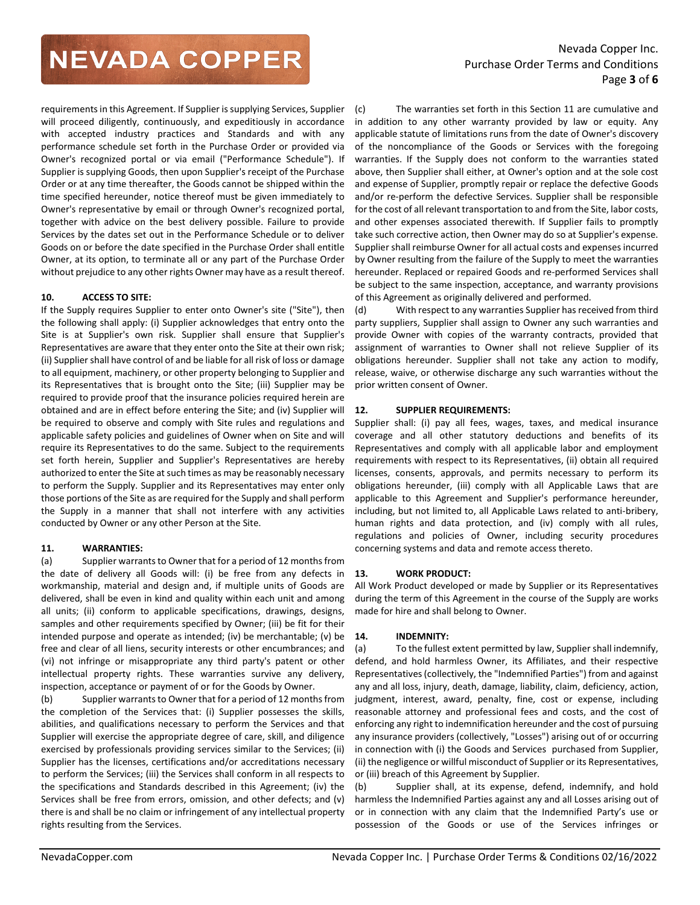requirements in this Agreement. If Supplier is supplying Services, Supplier will proceed diligently, continuously, and expeditiously in accordance with accepted industry practices and Standards and with any performance schedule set forth in the Purchase Order or provided via Owner's recognized portal or via email ("Performance Schedule"). If Supplier is supplying Goods, then upon Supplier's receipt of the Purchase Order or at any time thereafter, the Goods cannot be shipped within the time specified hereunder, notice thereof must be given immediately to Owner's representative by email or through Owner's recognized portal, together with advice on the best delivery possible. Failure to provide Services by the dates set out in the Performance Schedule or to deliver Goods on or before the date specified in the Purchase Order shall entitle Owner, at its option, to terminate all or any part of the Purchase Order without prejudice to any other rights Owner may have as a result thereof.

## **10. ACCESS TO SITE:**

If the Supply requires Supplier to enter onto Owner's site ("Site"), then the following shall apply: (i) Supplier acknowledges that entry onto the Site is at Supplier's own risk. Supplier shall ensure that Supplier's Representatives are aware that they enter onto the Site at their own risk; (ii) Supplier shall have control of and be liable for all risk of loss or damage to all equipment, machinery, or other property belonging to Supplier and its Representatives that is brought onto the Site; (iii) Supplier may be required to provide proof that the insurance policies required herein are obtained and are in effect before entering the Site; and (iv) Supplier will be required to observe and comply with Site rules and regulations and applicable safety policies and guidelines of Owner when on Site and will require its Representatives to do the same. Subject to the requirements set forth herein, Supplier and Supplier's Representatives are hereby authorized to enter the Site at such times as may be reasonably necessary to perform the Supply. Supplier and its Representatives may enter only those portions of the Site as are required for the Supply and shall perform the Supply in a manner that shall not interfere with any activities conducted by Owner or any other Person at the Site.

### **11. WARRANTIES:**

(a) Supplier warrants to Owner that for a period of 12 months from the date of delivery all Goods will: (i) be free from any defects in workmanship, material and design and, if multiple units of Goods are delivered, shall be even in kind and quality within each unit and among all units; (ii) conform to applicable specifications, drawings, designs, samples and other requirements specified by Owner; (iii) be fit for their intended purpose and operate as intended; (iv) be merchantable; (v) be free and clear of all liens, security interests or other encumbrances; and (vi) not infringe or misappropriate any third party's patent or other intellectual property rights. These warranties survive any delivery, inspection, acceptance or payment of or for the Goods by Owner.

(b) Supplier warrants to Owner that for a period of 12 months from the completion of the Services that: (i) Supplier possesses the skills, abilities, and qualifications necessary to perform the Services and that Supplier will exercise the appropriate degree of care, skill, and diligence exercised by professionals providing services similar to the Services; (ii) Supplier has the licenses, certifications and/or accreditations necessary to perform the Services; (iii) the Services shall conform in all respects to the specifications and Standards described in this Agreement; (iv) the Services shall be free from errors, omission, and other defects; and (v) there is and shall be no claim or infringement of any intellectual property rights resulting from the Services.

(c) The warranties set forth in this Section 11 are cumulative and in addition to any other warranty provided by law or equity. Any applicable statute of limitations runs from the date of Owner's discovery of the noncompliance of the Goods or Services with the foregoing warranties. If the Supply does not conform to the warranties stated above, then Supplier shall either, at Owner's option and at the sole cost and expense of Supplier, promptly repair or replace the defective Goods and/or re-perform the defective Services. Supplier shall be responsible for the cost of all relevant transportation to and from the Site, labor costs, and other expenses associated therewith. If Supplier fails to promptly take such corrective action, then Owner may do so at Supplier's expense. Supplier shall reimburse Owner for all actual costs and expenses incurred by Owner resulting from the failure of the Supply to meet the warranties hereunder. Replaced or repaired Goods and re-performed Services shall be subject to the same inspection, acceptance, and warranty provisions of this Agreement as originally delivered and performed.

(d) With respect to any warranties Supplier has received from third party suppliers, Supplier shall assign to Owner any such warranties and provide Owner with copies of the warranty contracts, provided that assignment of warranties to Owner shall not relieve Supplier of its obligations hereunder. Supplier shall not take any action to modify, release, waive, or otherwise discharge any such warranties without the prior written consent of Owner.

## **12. SUPPLIER REQUIREMENTS:**

Supplier shall: (i) pay all fees, wages, taxes, and medical insurance coverage and all other statutory deductions and benefits of its Representatives and comply with all applicable labor and employment requirements with respect to its Representatives, (ii) obtain all required licenses, consents, approvals, and permits necessary to perform its obligations hereunder, (iii) comply with all Applicable Laws that are applicable to this Agreement and Supplier's performance hereunder, including, but not limited to, all Applicable Laws related to anti-bribery, human rights and data protection, and (iv) comply with all rules, regulations and policies of Owner, including security procedures concerning systems and data and remote access thereto.

### **13. WORK PRODUCT:**

All Work Product developed or made by Supplier or its Representatives during the term of this Agreement in the course of the Supply are works made for hire and shall belong to Owner.

### **14. INDEMNITY:**

(a) To the fullest extent permitted by law, Supplier shall indemnify, defend, and hold harmless Owner, its Affiliates, and their respective Representatives (collectively, the "Indemnified Parties") from and against any and all loss, injury, death, damage, liability, claim, deficiency, action, judgment, interest, award, penalty, fine, cost or expense, including reasonable attorney and professional fees and costs, and the cost of enforcing any right to indemnification hereunder and the cost of pursuing any insurance providers (collectively, "Losses") arising out of or occurring in connection with (i) the Goods and Services purchased from Supplier, (ii) the negligence or willful misconduct of Supplier or its Representatives, or (iii) breach of this Agreement by Supplier.

(b) Supplier shall, at its expense, defend, indemnify, and hold harmless the Indemnified Parties against any and all Losses arising out of or in connection with any claim that the Indemnified Party's use or possession of the Goods or use of the Services infringes or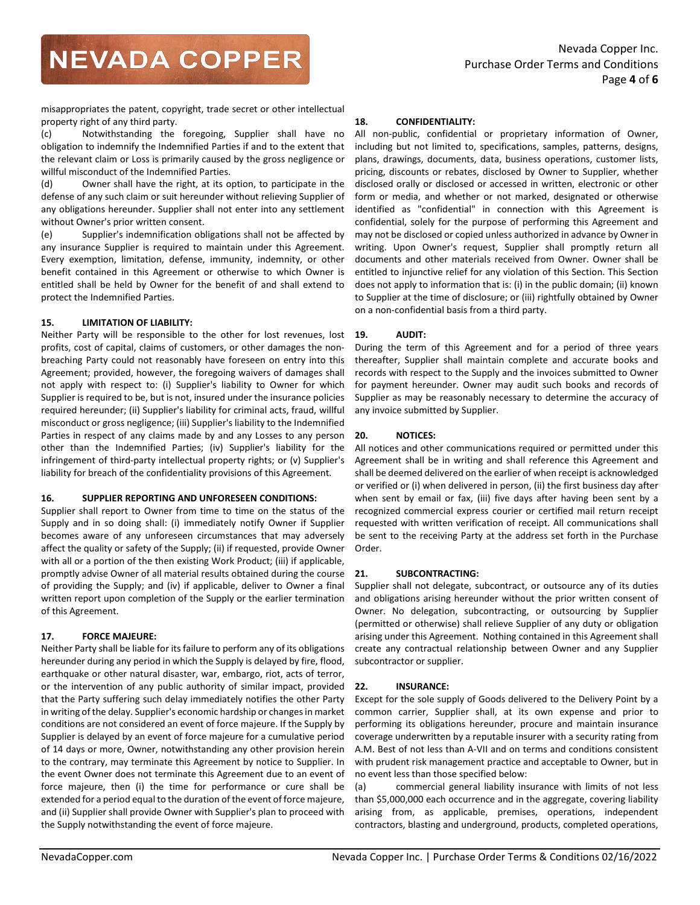misappropriates the patent, copyright, trade secret or other intellectual property right of any third party.

(c) Notwithstanding the foregoing, Supplier shall have no obligation to indemnify the Indemnified Parties if and to the extent that the relevant claim or Loss is primarily caused by the gross negligence or willful misconduct of the Indemnified Parties.

(d) Owner shall have the right, at its option, to participate in the defense of any such claim or suit hereunder without relieving Supplier of any obligations hereunder. Supplier shall not enter into any settlement without Owner's prior written consent.

(e) Supplier's indemnification obligations shall not be affected by any insurance Supplier is required to maintain under this Agreement. Every exemption, limitation, defense, immunity, indemnity, or other benefit contained in this Agreement or otherwise to which Owner is entitled shall be held by Owner for the benefit of and shall extend to protect the Indemnified Parties.

# **15. LIMITATION OF LIABILITY:**

Neither Party will be responsible to the other for lost revenues, lost profits, cost of capital, claims of customers, or other damages the nonbreaching Party could not reasonably have foreseen on entry into this Agreement; provided, however, the foregoing waivers of damages shall not apply with respect to: (i) Supplier's liability to Owner for which Supplier is required to be, but is not, insured under the insurance policies required hereunder; (ii) Supplier's liability for criminal acts, fraud, willful misconduct or gross negligence; (iii) Supplier's liability to the Indemnified Parties in respect of any claims made by and any Losses to any person other than the Indemnified Parties; (iv) Supplier's liability for the infringement of third-party intellectual property rights; or (v) Supplier's liability for breach of the confidentiality provisions of this Agreement.

## **16. SUPPLIER REPORTING AND UNFORESEEN CONDITIONS:**

Supplier shall report to Owner from time to time on the status of the Supply and in so doing shall: (i) immediately notify Owner if Supplier becomes aware of any unforeseen circumstances that may adversely affect the quality or safety of the Supply; (ii) if requested, provide Owner with all or a portion of the then existing Work Product; (iii) if applicable, promptly advise Owner of all material results obtained during the course of providing the Supply; and (iv) if applicable, deliver to Owner a final written report upon completion of the Supply or the earlier termination of this Agreement.

# **17. FORCE MAJEURE:**

Neither Party shall be liable for its failure to perform any of its obligations hereunder during any period in which the Supply is delayed by fire, flood, earthquake or other natural disaster, war, embargo, riot, acts of terror, or the intervention of any public authority of similar impact, provided that the Party suffering such delay immediately notifies the other Party in writing of the delay. Supplier's economic hardship or changes in market conditions are not considered an event of force majeure. If the Supply by Supplier is delayed by an event of force majeure for a cumulative period of 14 days or more, Owner, notwithstanding any other provision herein to the contrary, may terminate this Agreement by notice to Supplier. In the event Owner does not terminate this Agreement due to an event of force majeure, then (i) the time for performance or cure shall be extended for a period equal to the duration of the event of force majeure, and (ii) Supplier shall provide Owner with Supplier's plan to proceed with the Supply notwithstanding the event of force majeure.

## **18. CONFIDENTIALITY:**

All non-public, confidential or proprietary information of Owner, including but not limited to, specifications, samples, patterns, designs, plans, drawings, documents, data, business operations, customer lists, pricing, discounts or rebates, disclosed by Owner to Supplier, whether disclosed orally or disclosed or accessed in written, electronic or other form or media, and whether or not marked, designated or otherwise identified as "confidential" in connection with this Agreement is confidential, solely for the purpose of performing this Agreement and may not be disclosed or copied unless authorized in advance by Owner in writing. Upon Owner's request, Supplier shall promptly return all documents and other materials received from Owner. Owner shall be entitled to injunctive relief for any violation of this Section. This Section does not apply to information that is: (i) in the public domain; (ii) known to Supplier at the time of disclosure; or (iii) rightfully obtained by Owner on a non-confidential basis from a third party.

# **19. AUDIT:**

During the term of this Agreement and for a period of three years thereafter, Supplier shall maintain complete and accurate books and records with respect to the Supply and the invoices submitted to Owner for payment hereunder. Owner may audit such books and records of Supplier as may be reasonably necessary to determine the accuracy of any invoice submitted by Supplier.

# **20. NOTICES:**

All notices and other communications required or permitted under this Agreement shall be in writing and shall reference this Agreement and shall be deemed delivered on the earlier of when receipt is acknowledged or verified or (i) when delivered in person, (ii) the first business day after when sent by email or fax, (iii) five days after having been sent by a recognized commercial express courier or certified mail return receipt requested with written verification of receipt. All communications shall be sent to the receiving Party at the address set forth in the Purchase Order.

## **21. SUBCONTRACTING:**

Supplier shall not delegate, subcontract, or outsource any of its duties and obligations arising hereunder without the prior written consent of Owner. No delegation, subcontracting, or outsourcing by Supplier (permitted or otherwise) shall relieve Supplier of any duty or obligation arising under this Agreement. Nothing contained in this Agreement shall create any contractual relationship between Owner and any Supplier subcontractor or supplier.

## **22. INSURANCE:**

Except for the sole supply of Goods delivered to the Delivery Point by a common carrier, Supplier shall, at its own expense and prior to performing its obligations hereunder, procure and maintain insurance coverage underwritten by a reputable insurer with a security rating from A.M. Best of not less than A-VII and on terms and conditions consistent with prudent risk management practice and acceptable to Owner, but in no event less than those specified below:

(a) commercial general liability insurance with limits of not less than \$5,000,000 each occurrence and in the aggregate, covering liability arising from, as applicable, premises, operations, independent contractors, blasting and underground, products, completed operations,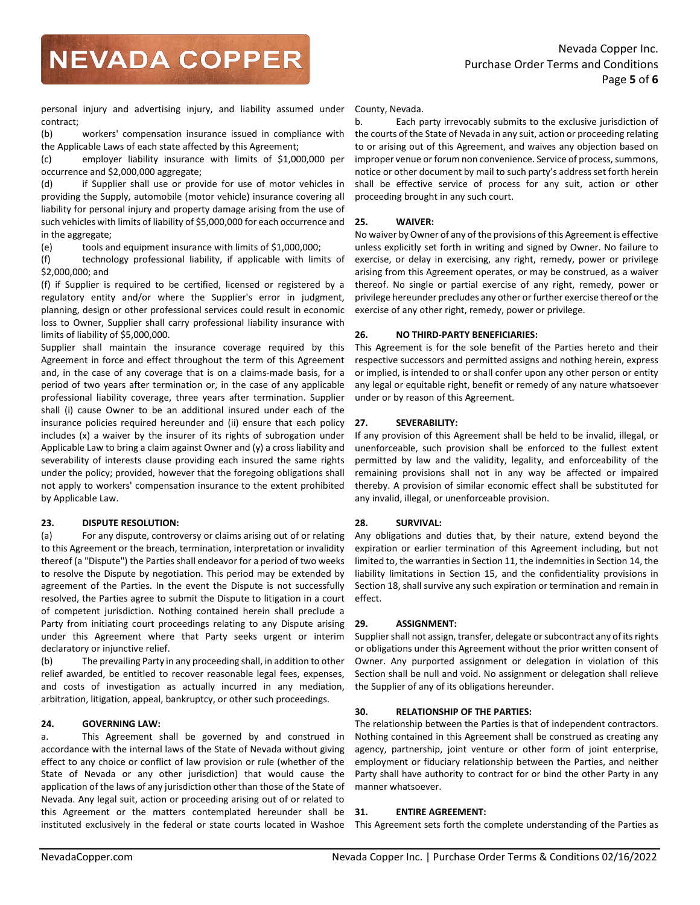personal injury and advertising injury, and liability assumed under contract;

(b) workers' compensation insurance issued in compliance with the Applicable Laws of each state affected by this Agreement;

(c) employer liability insurance with limits of \$1,000,000 per occurrence and \$2,000,000 aggregate;

(d) if Supplier shall use or provide for use of motor vehicles in providing the Supply, automobile (motor vehicle) insurance covering all liability for personal injury and property damage arising from the use of such vehicles with limits of liability of \$5,000,000 for each occurrence and in the aggregate;

(e) tools and equipment insurance with limits of \$1,000,000;

(f) technology professional liability, if applicable with limits of \$2,000,000; and

(f) if Supplier is required to be certified, licensed or registered by a regulatory entity and/or where the Supplier's error in judgment, planning, design or other professional services could result in economic loss to Owner, Supplier shall carry professional liability insurance with limits of liability of \$5,000,000.

Supplier shall maintain the insurance coverage required by this Agreement in force and effect throughout the term of this Agreement and, in the case of any coverage that is on a claims-made basis, for a period of two years after termination or, in the case of any applicable professional liability coverage, three years after termination. Supplier shall (i) cause Owner to be an additional insured under each of the insurance policies required hereunder and (ii) ensure that each policy includes (x) a waiver by the insurer of its rights of subrogation under Applicable Law to bring a claim against Owner and (y) a cross liability and severability of interests clause providing each insured the same rights under the policy; provided, however that the foregoing obligations shall not apply to workers' compensation insurance to the extent prohibited by Applicable Law.

## **23. DISPUTE RESOLUTION:**

(a) For any dispute, controversy or claims arising out of or relating to this Agreement or the breach, termination, interpretation or invalidity thereof (a "Dispute") the Parties shall endeavor for a period of two weeks to resolve the Dispute by negotiation. This period may be extended by agreement of the Parties. In the event the Dispute is not successfully resolved, the Parties agree to submit the Dispute to litigation in a court of competent jurisdiction. Nothing contained herein shall preclude a Party from initiating court proceedings relating to any Dispute arising under this Agreement where that Party seeks urgent or interim declaratory or injunctive relief.

(b) The prevailing Party in any proceeding shall, in addition to other relief awarded, be entitled to recover reasonable legal fees, expenses, and costs of investigation as actually incurred in any mediation, arbitration, litigation, appeal, bankruptcy, or other such proceedings.

## **24. GOVERNING LAW:**

a. This Agreement shall be governed by and construed in accordance with the internal laws of the State of Nevada without giving effect to any choice or conflict of law provision or rule (whether of the State of Nevada or any other jurisdiction) that would cause the application of the laws of any jurisdiction other than those of the State of Nevada. Any legal suit, action or proceeding arising out of or related to this Agreement or the matters contemplated hereunder shall be instituted exclusively in the federal or state courts located in Washoe

County, Nevada.

b. Each party irrevocably submits to the exclusive jurisdiction of the courts of the State of Nevada in any suit, action or proceeding relating to or arising out of this Agreement, and waives any objection based on improper venue or forum non convenience. Service of process, summons, notice or other document by mail to such party's address set forth herein shall be effective service of process for any suit, action or other proceeding brought in any such court.

### **25. WAIVER:**

No waiver by Owner of any of the provisions of this Agreement is effective unless explicitly set forth in writing and signed by Owner. No failure to exercise, or delay in exercising, any right, remedy, power or privilege arising from this Agreement operates, or may be construed, as a waiver thereof. No single or partial exercise of any right, remedy, power or privilege hereunder precludes any other or further exercise thereof or the exercise of any other right, remedy, power or privilege.

## **26. NO THIRD-PARTY BENEFICIARIES:**

This Agreement is for the sole benefit of the Parties hereto and their respective successors and permitted assigns and nothing herein, express or implied, is intended to or shall confer upon any other person or entity any legal or equitable right, benefit or remedy of any nature whatsoever under or by reason of this Agreement.

## **27. SEVERABILITY:**

If any provision of this Agreement shall be held to be invalid, illegal, or unenforceable, such provision shall be enforced to the fullest extent permitted by law and the validity, legality, and enforceability of the remaining provisions shall not in any way be affected or impaired thereby. A provision of similar economic effect shall be substituted for any invalid, illegal, or unenforceable provision.

## **28. SURVIVAL:**

Any obligations and duties that, by their nature, extend beyond the expiration or earlier termination of this Agreement including, but not limited to, the warranties in Section 11, the indemnities in Section 14, the liability limitations in Section 15, and the confidentiality provisions in Section 18, shall survive any such expiration or termination and remain in effect.

### **29. ASSIGNMENT:**

Supplier shall not assign, transfer, delegate or subcontract any of its rights or obligations under this Agreement without the prior written consent of Owner. Any purported assignment or delegation in violation of this Section shall be null and void. No assignment or delegation shall relieve the Supplier of any of its obligations hereunder.

## **30. RELATIONSHIP OF THE PARTIES:**

The relationship between the Parties is that of independent contractors. Nothing contained in this Agreement shall be construed as creating any agency, partnership, joint venture or other form of joint enterprise, employment or fiduciary relationship between the Parties, and neither Party shall have authority to contract for or bind the other Party in any manner whatsoever.

### **31. ENTIRE AGREEMENT:**

This Agreement sets forth the complete understanding of the Parties as